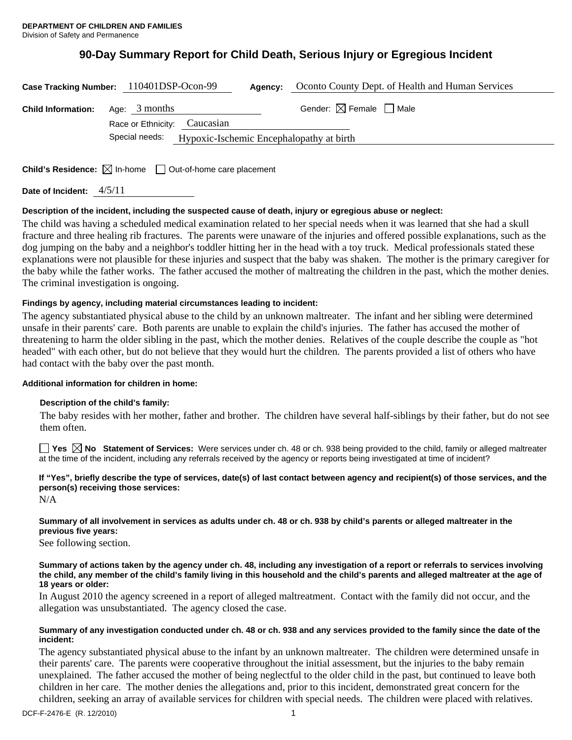# **90-Day Summary Report for Child Death, Serious Injury or Egregious Incident**

| Oconto County Dept. of Health and Human Services<br>Case Tracking Number: 110401DSP-Ocon-99<br>Agency: |                                                         |                                        |
|--------------------------------------------------------------------------------------------------------|---------------------------------------------------------|----------------------------------------|
| <b>Child Information:</b>                                                                              | Age: $3$ months<br>Race or Ethnicity: Caucasian         | Gender: $\boxtimes$ Female $\Box$ Male |
|                                                                                                        | Special needs: Hypoxic-Ischemic Encephalopathy at birth |                                        |

**Child's Residence:**  $\boxtimes$  In-home  $\Box$  Out-of-home care placement

**Date of Incident:** 4/5/11

# **Description of the incident, including the suspected cause of death, injury or egregious abuse or neglect:**

The child was having a scheduled medical examination related to her special needs when it was learned that she had a skull fracture and three healing rib fractures. The parents were unaware of the injuries and offered possible explanations, such as the dog jumping on the baby and a neighbor's toddler hitting her in the head with a toy truck. Medical professionals stated these explanations were not plausible for these injuries and suspect that the baby was shaken. The mother is the primary caregiver for the baby while the father works. The father accused the mother of maltreating the children in the past, which the mother denies. The criminal investigation is ongoing.

# **Findings by agency, including material circumstances leading to incident:**

The agency substantiated physical abuse to the child by an unknown maltreater. The infant and her sibling were determined unsafe in their parents' care. Both parents are unable to explain the child's injuries. The father has accused the mother of threatening to harm the older sibling in the past, which the mother denies. Relatives of the couple describe the couple as "hot headed" with each other, but do not believe that they would hurt the children. The parents provided a list of others who have had contact with the baby over the past month.

# **Additional information for children in home:**

# **Description of the child's family:**

The baby resides with her mother, father and brother. The children have several half-siblings by their father, but do not see them often.

■ Yes **△ No** Statement of Services: Were services under ch. 48 or ch. 938 being provided to the child, family or alleged maltreater at the time of the incident, including any referrals received by the agency or reports being investigated at time of incident?

**If "Yes", briefly describe the type of services, date(s) of last contact between agency and recipient(s) of those services, and the person(s) receiving those services:** 

N/A

# **Summary of all involvement in services as adults under ch. 48 or ch. 938 by child's parents or alleged maltreater in the previous five years:**

See following section.

#### **Summary of actions taken by the agency under ch. 48, including any investigation of a report or referrals to services involving the child, any member of the child's family living in this household and the child's parents and alleged maltreater at the age of 18 years or older:**

In August 2010 the agency screened in a report of alleged maltreatment. Contact with the family did not occur, and the allegation was unsubstantiated. The agency closed the case.

#### **Summary of any investigation conducted under ch. 48 or ch. 938 and any services provided to the family since the date of the incident:**

The agency substantiated physical abuse to the infant by an unknown maltreater. The children were determined unsafe in their parents' care. The parents were cooperative throughout the initial assessment, but the injuries to the baby remain unexplained. The father accused the mother of being neglectful to the older child in the past, but continued to leave both children in her care. The mother denies the allegations and, prior to this incident, demonstrated great concern for the children, seeking an array of available services for children with special needs. The children were placed with relatives.